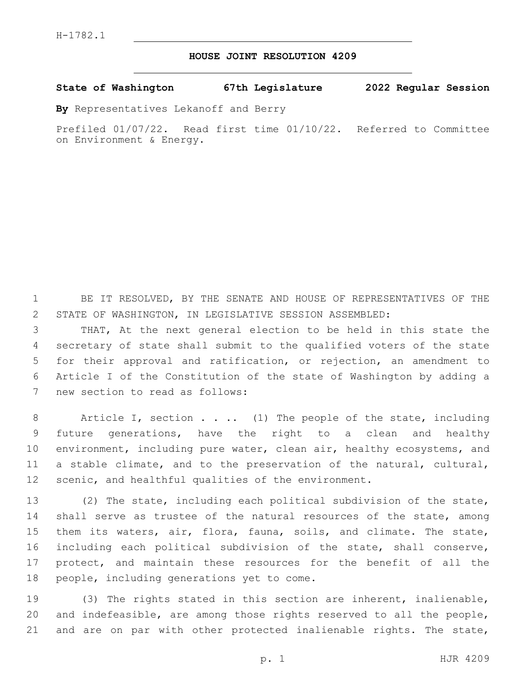## **HOUSE JOINT RESOLUTION 4209**

## **State of Washington 67th Legislature 2022 Regular Session**

**By** Representatives Lekanoff and Berry

Prefiled 01/07/22. Read first time 01/10/22. Referred to Committee on Environment & Energy.

1 BE IT RESOLVED, BY THE SENATE AND HOUSE OF REPRESENTATIVES OF THE 2 STATE OF WASHINGTON, IN LEGISLATIVE SESSION ASSEMBLED:

 THAT, At the next general election to be held in this state the secretary of state shall submit to the qualified voters of the state for their approval and ratification, or rejection, an amendment to Article I of the Constitution of the state of Washington by adding a 7 new section to read as follows:

8 Article I, section . . .. (1) The people of the state, including 9 future generations, have the right to a clean and healthy 10 environment, including pure water, clean air, healthy ecosystems, and 11 a stable climate, and to the preservation of the natural, cultural, 12 scenic, and healthful qualities of the environment.

 (2) The state, including each political subdivision of the state, 14 shall serve as trustee of the natural resources of the state, among them its waters, air, flora, fauna, soils, and climate. The state, including each political subdivision of the state, shall conserve, protect, and maintain these resources for the benefit of all the 18 people, including generations yet to come.

19 (3) The rights stated in this section are inherent, inalienable, 20 and indefeasible, are among those rights reserved to all the people, 21 and are on par with other protected inalienable rights. The state,